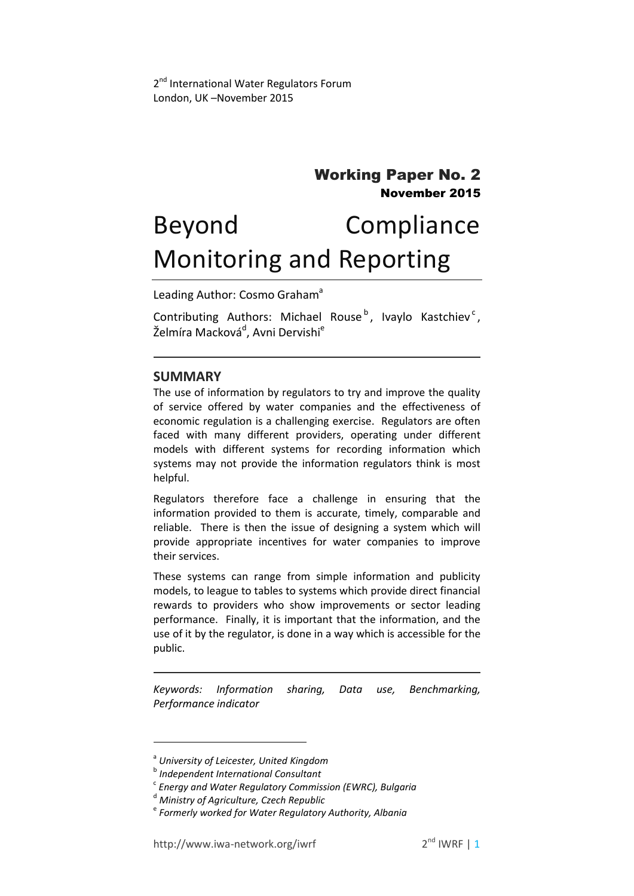# Working Paper No. 2 November 2015

# Beyond Compliance Monitoring and Reporting

Leading Author: Cosmo Graham<sup>a</sup>

Contributing Authors: Michael Rouse<sup>b</sup>, Ivaylo Kastchiev<sup>c</sup>, Želmíra Macková<sup>d</sup>, Avni Dervishi<sup>e</sup>

#### **SUMMARY**

The use of information by regulators to try and improve the quality of service offered by water companies and the effectiveness of economic regulation is a challenging exercise. Regulators are often faced with many different providers, operating under different models with different systems for recording information which systems may not provide the information regulators think is most helpful.

Regulators therefore face a challenge in ensuring that the information provided to them is accurate, timely, comparable and reliable. There is then the issue of designing a system which will provide appropriate incentives for water companies to improve their services.

These systems can range from simple information and publicity models, to league to tables to systems which provide direct financial rewards to providers who show improvements or sector leading performance. Finally, it is important that the information, and the use of it by the regulator, is done in a way which is accessible for the public.

*Keywords: Information sharing, Data use, Benchmarking, Performance indicator*

 $\overline{\phantom{a}}$ 

a *University of Leicester, United Kingdom*

b *Independent International Consultant*

c *Energy and Water Regulatory Commission (EWRC), Bulgaria*

<sup>d</sup> *Ministry of Agriculture, Czech Republic*

e *Formerly worked for Water Regulatory Authority, Albania*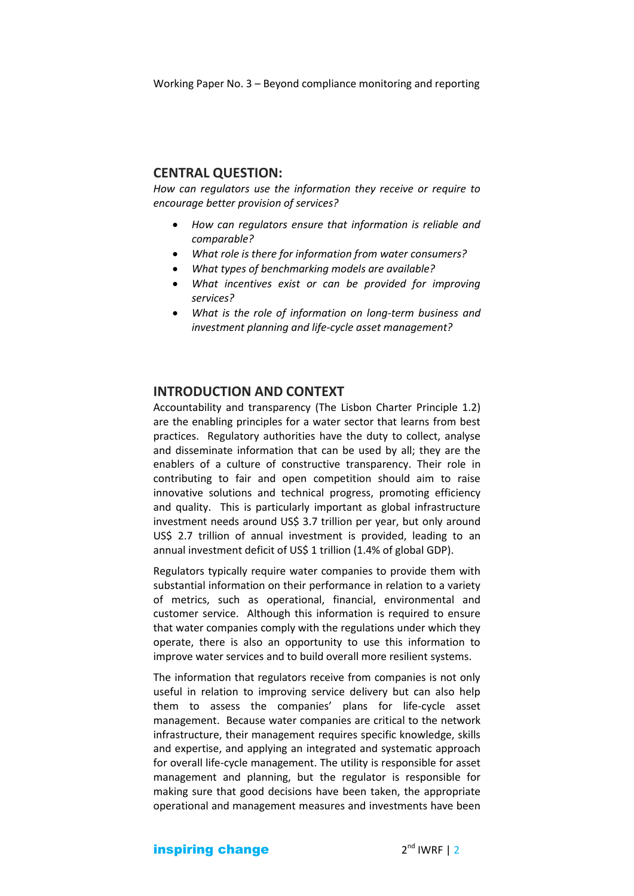Working Paper No. 3 – Beyond compliance monitoring and reporting

#### **CENTRAL QUESTION:**

*How can regulators use the information they receive or require to encourage better provision of services?*

- *How can regulators ensure that information is reliable and comparable?*
- *What role is there for information from water consumers?*
- *What types of benchmarking models are available?*
- *What incentives exist or can be provided for improving services?*
- *What is the role of information on long-term business and investment planning and life-cycle asset management?*

#### **INTRODUCTION AND CONTEXT**

Accountability and transparency (The Lisbon Charter Principle 1.2) are the enabling principles for a water sector that learns from best practices. Regulatory authorities have the duty to collect, analyse and disseminate information that can be used by all; they are the enablers of a culture of constructive transparency. Their role in contributing to fair and open competition should aim to raise innovative solutions and technical progress, promoting efficiency and quality. This is particularly important as global infrastructure investment needs around US\$ 3.7 trillion per year, but only around US\$ 2.7 trillion of annual investment is provided, leading to an annual investment deficit of US\$ 1 trillion (1.4% of global GDP).

Regulators typically require water companies to provide them with substantial information on their performance in relation to a variety of metrics, such as operational, financial, environmental and customer service. Although this information is required to ensure that water companies comply with the regulations under which they operate, there is also an opportunity to use this information to improve water services and to build overall more resilient systems.

The information that regulators receive from companies is not only useful in relation to improving service delivery but can also help them to assess the companies' plans for life-cycle asset management. Because water companies are critical to the network infrastructure, their management requires specific knowledge, skills and expertise, and applying an integrated and systematic approach for overall life-cycle management. The utility is responsible for asset management and planning, but the regulator is responsible for making sure that good decisions have been taken, the appropriate operational and management measures and investments have been

inspiring change 2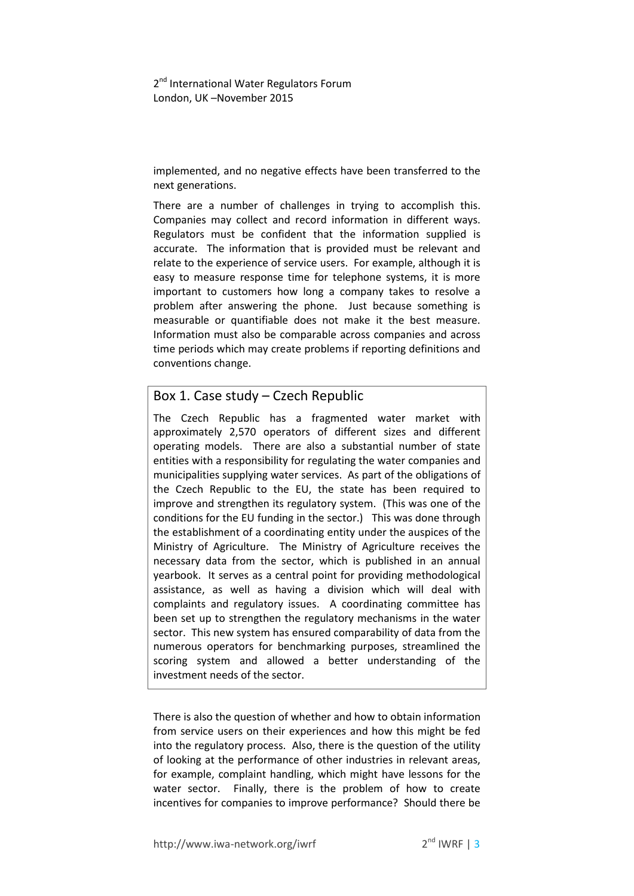2<sup>nd</sup> International Water Regulators Forum London, UK –November 2015

implemented, and no negative effects have been transferred to the next generations.

There are a number of challenges in trying to accomplish this. Companies may collect and record information in different ways. Regulators must be confident that the information supplied is accurate. The information that is provided must be relevant and relate to the experience of service users. For example, although it is easy to measure response time for telephone systems, it is more important to customers how long a company takes to resolve a problem after answering the phone. Just because something is measurable or quantifiable does not make it the best measure. Information must also be comparable across companies and across time periods which may create problems if reporting definitions and conventions change.

# Box 1. Case study – Czech Republic

The Czech Republic has a fragmented water market with approximately 2,570 operators of different sizes and different operating models. There are also a substantial number of state entities with a responsibility for regulating the water companies and municipalities supplying water services. As part of the obligations of the Czech Republic to the EU, the state has been required to improve and strengthen its regulatory system. (This was one of the conditions for the EU funding in the sector.) This was done through the establishment of a coordinating entity under the auspices of the Ministry of Agriculture. The Ministry of Agriculture receives the necessary data from the sector, which is published in an annual yearbook. It serves as a central point for providing methodological assistance, as well as having a division which will deal with complaints and regulatory issues. A coordinating committee has been set up to strengthen the regulatory mechanisms in the water sector. This new system has ensured comparability of data from the numerous operators for benchmarking purposes, streamlined the scoring system and allowed a better understanding of the investment needs of the sector.

There is also the question of whether and how to obtain information from service users on their experiences and how this might be fed into the regulatory process. Also, there is the question of the utility of looking at the performance of other industries in relevant areas, for example, complaint handling, which might have lessons for the water sector. Finally, there is the problem of how to create incentives for companies to improve performance? Should there be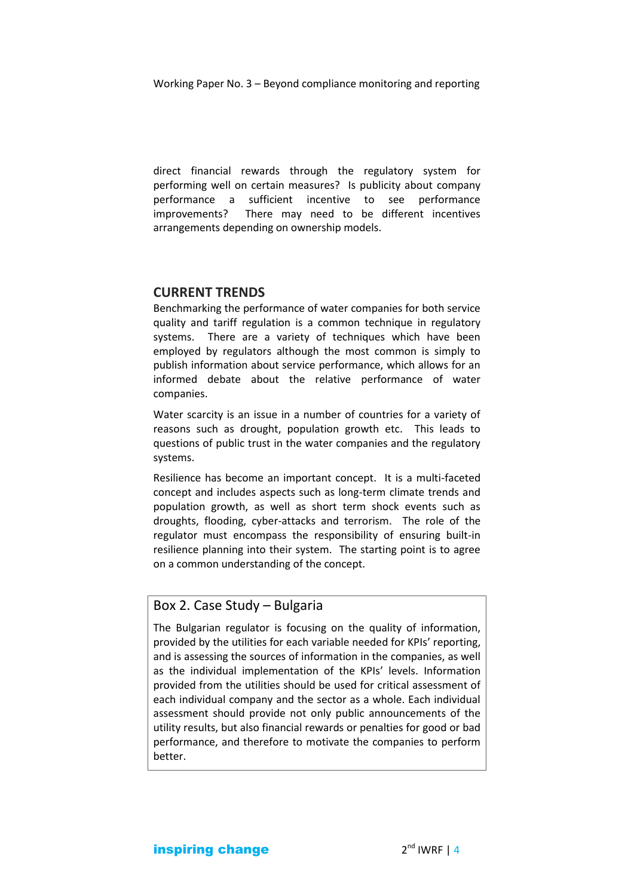Working Paper No. 3 – Beyond compliance monitoring and reporting

direct financial rewards through the regulatory system for performing well on certain measures? Is publicity about company performance a sufficient incentive to see performance improvements? There may need to be different incentives arrangements depending on ownership models.

#### **CURRENT TRENDS**

Benchmarking the performance of water companies for both service quality and tariff regulation is a common technique in regulatory systems. There are a variety of techniques which have been employed by regulators although the most common is simply to publish information about service performance, which allows for an informed debate about the relative performance of water companies.

Water scarcity is an issue in a number of countries for a variety of reasons such as drought, population growth etc. This leads to questions of public trust in the water companies and the regulatory systems.

Resilience has become an important concept. It is a multi-faceted concept and includes aspects such as long-term climate trends and population growth, as well as short term shock events such as droughts, flooding, cyber-attacks and terrorism. The role of the regulator must encompass the responsibility of ensuring built-in resilience planning into their system. The starting point is to agree on a common understanding of the concept.

### Box 2. Case Study – Bulgaria

The Bulgarian regulator is focusing on the quality of information, provided by the utilities for each variable needed for KPIs' reporting, and is assessing the sources of information in the companies, as well as the individual implementation of the KPIs' levels. Information provided from the utilities should be used for critical assessment of each individual company and the sector as a whole. Each individual assessment should provide not only public announcements of the utility results, but also financial rewards or penalties for good or bad performance, and therefore to motivate the companies to perform better.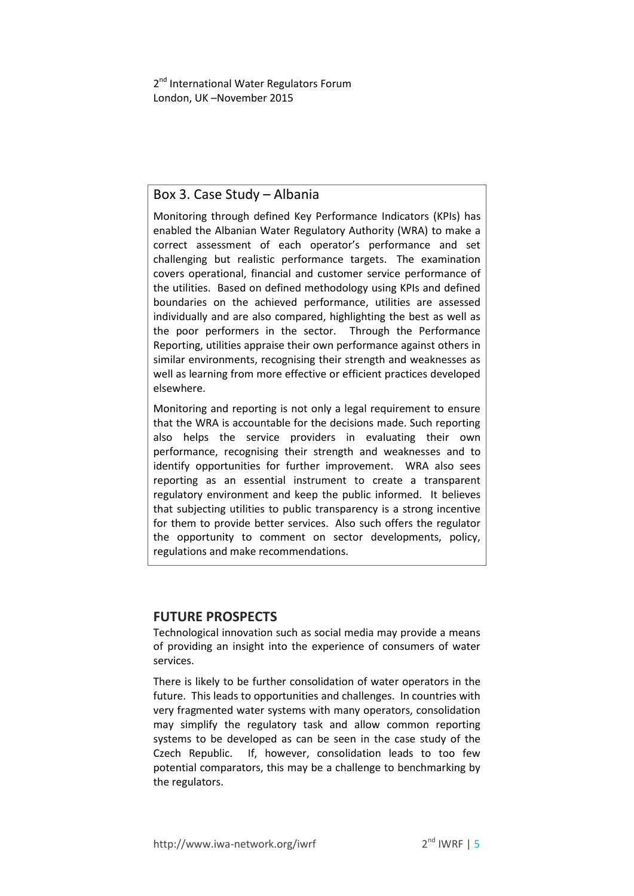2<sup>nd</sup> International Water Regulators Forum London, UK –November 2015

### Box 3. Case Study – Albania

Monitoring through defined Key Performance Indicators (KPIs) has enabled the Albanian Water Regulatory Authority (WRA) to make a correct assessment of each operator's performance and set challenging but realistic performance targets. The examination covers operational, financial and customer service performance of the utilities. Based on defined methodology using KPIs and defined boundaries on the achieved performance, utilities are assessed individually and are also compared, highlighting the best as well as the poor performers in the sector. Through the Performance Reporting, utilities appraise their own performance against others in similar environments, recognising their strength and weaknesses as well as learning from more effective or efficient practices developed elsewhere.

Monitoring and reporting is not only a legal requirement to ensure that the WRA is accountable for the decisions made. Such reporting also helps the service providers in evaluating their own performance, recognising their strength and weaknesses and to identify opportunities for further improvement. WRA also sees reporting as an essential instrument to create a transparent regulatory environment and keep the public informed. It believes that subjecting utilities to public transparency is a strong incentive for them to provide better services. Also such offers the regulator the opportunity to comment on sector developments, policy, regulations and make recommendations.

#### **FUTURE PROSPECTS**

Technological innovation such as social media may provide a means of providing an insight into the experience of consumers of water services.

There is likely to be further consolidation of water operators in the future. This leads to opportunities and challenges. In countries with very fragmented water systems with many operators, consolidation may simplify the regulatory task and allow common reporting systems to be developed as can be seen in the case study of the Czech Republic. If, however, consolidation leads to too few potential comparators, this may be a challenge to benchmarking by the regulators.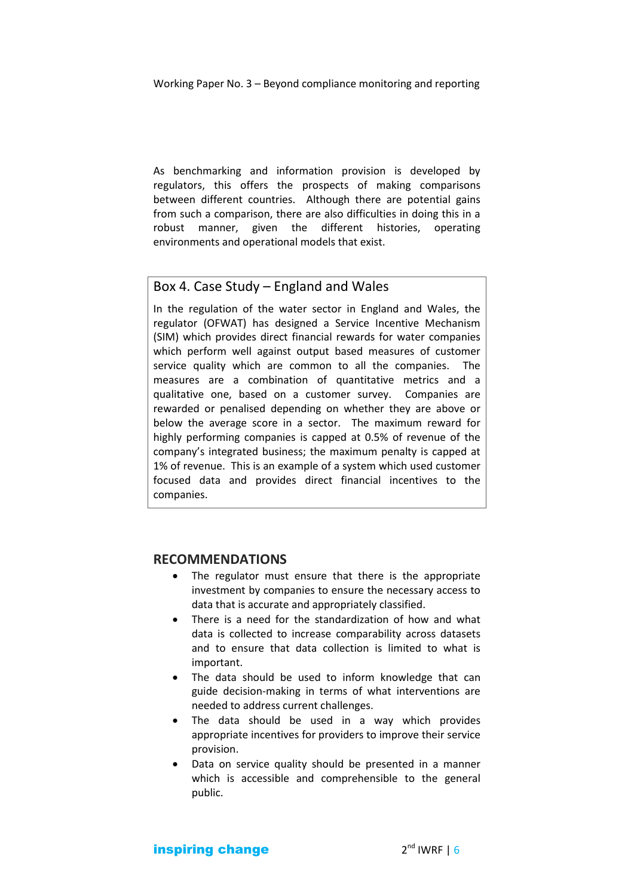Working Paper No. 3 – Beyond compliance monitoring and reporting

As benchmarking and information provision is developed by regulators, this offers the prospects of making comparisons between different countries. Although there are potential gains from such a comparison, there are also difficulties in doing this in a robust manner, given the different histories, operating environments and operational models that exist.

#### Box 4. Case Study – England and Wales

In the regulation of the water sector in England and Wales, the regulator (OFWAT) has designed a Service Incentive Mechanism (SIM) which provides direct financial rewards for water companies which perform well against output based measures of customer service quality which are common to all the companies. The measures are a combination of quantitative metrics and a qualitative one, based on a customer survey. Companies are rewarded or penalised depending on whether they are above or below the average score in a sector. The maximum reward for highly performing companies is capped at 0.5% of revenue of the company's integrated business; the maximum penalty is capped at 1% of revenue. This is an example of a system which used customer focused data and provides direct financial incentives to the companies.

#### **RECOMMENDATIONS**

- The regulator must ensure that there is the appropriate investment by companies to ensure the necessary access to data that is accurate and appropriately classified.
- There is a need for the standardization of how and what data is collected to increase comparability across datasets and to ensure that data collection is limited to what is important.
- The data should be used to inform knowledge that can guide decision-making in terms of what interventions are needed to address current challenges.
- The data should be used in a way which provides appropriate incentives for providers to improve their service provision.
- Data on service quality should be presented in a manner which is accessible and comprehensible to the general public.

inspiring change 2